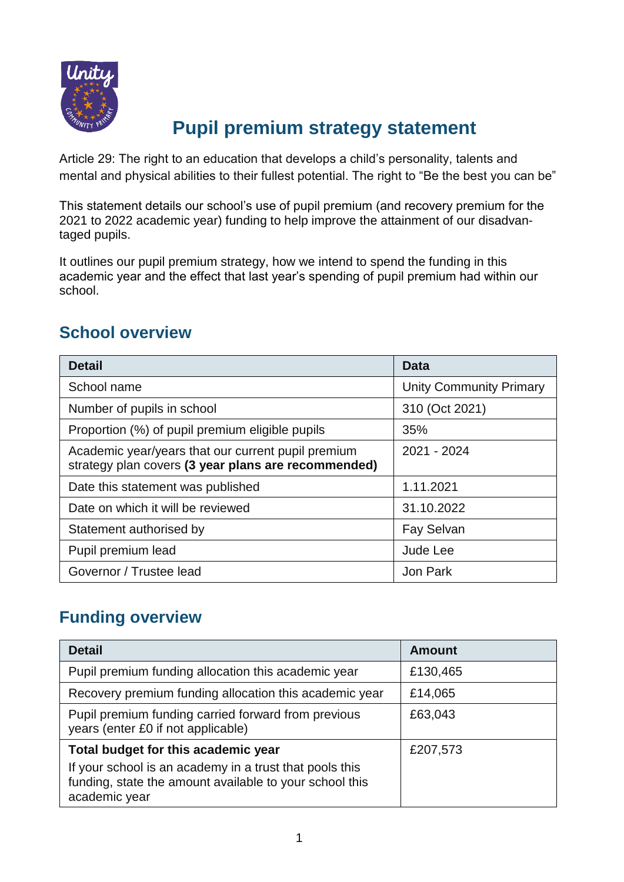

# **Pupil premium strategy statement**

Article 29: The right to an education that develops a child's personality, talents and mental and physical abilities to their fullest potential. The right to "Be the best you can be"

This statement details our school's use of pupil premium (and recovery premium for the 2021 to 2022 academic year) funding to help improve the attainment of our disadvantaged pupils.

It outlines our pupil premium strategy, how we intend to spend the funding in this academic year and the effect that last year's spending of pupil premium had within our school.

### **School overview**

| <b>Detail</b>                                                                                             | Data                           |
|-----------------------------------------------------------------------------------------------------------|--------------------------------|
| School name                                                                                               | <b>Unity Community Primary</b> |
| Number of pupils in school                                                                                | 310 (Oct 2021)                 |
| Proportion (%) of pupil premium eligible pupils                                                           | 35%                            |
| Academic year/years that our current pupil premium<br>strategy plan covers (3 year plans are recommended) | 2021 - 2024                    |
| Date this statement was published                                                                         | 1.11.2021                      |
| Date on which it will be reviewed                                                                         | 31.10.2022                     |
| Statement authorised by                                                                                   | <b>Fay Selvan</b>              |
| Pupil premium lead                                                                                        | Jude Lee                       |
| Governor / Trustee lead                                                                                   | Jon Park                       |

#### **Funding overview**

| <b>Detail</b>                                                                                                                                                              | <b>Amount</b> |
|----------------------------------------------------------------------------------------------------------------------------------------------------------------------------|---------------|
| Pupil premium funding allocation this academic year                                                                                                                        | £130,465      |
| Recovery premium funding allocation this academic year                                                                                                                     | £14,065       |
| Pupil premium funding carried forward from previous<br>years (enter £0 if not applicable)                                                                                  | £63,043       |
| Total budget for this academic year<br>If your school is an academy in a trust that pools this<br>funding, state the amount available to your school this<br>academic year | £207,573      |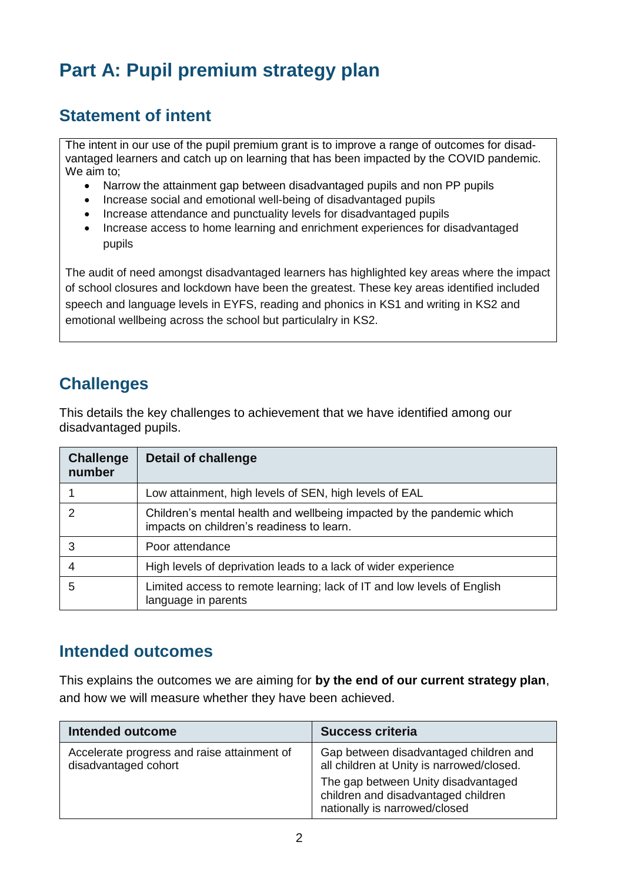# **Part A: Pupil premium strategy plan**

### **Statement of intent**

The intent in our use of the pupil premium grant is to improve a range of outcomes for disadvantaged learners and catch up on learning that has been impacted by the COVID pandemic. We aim to;

- Narrow the attainment gap between disadvantaged pupils and non PP pupils
- Increase social and emotional well-being of disadvantaged pupils
- Increase attendance and punctuality levels for disadvantaged pupils
- Increase access to home learning and enrichment experiences for disadvantaged pupils

The audit of need amongst disadvantaged learners has highlighted key areas where the impact of school closures and lockdown have been the greatest. These key areas identified included speech and language levels in EYFS, reading and phonics in KS1 and writing in KS2 and emotional wellbeing across the school but particulalry in KS2.

### **Challenges**

This details the key challenges to achievement that we have identified among our disadvantaged pupils.

| <b>Challenge</b><br>number | <b>Detail of challenge</b>                                                                                         |
|----------------------------|--------------------------------------------------------------------------------------------------------------------|
|                            | Low attainment, high levels of SEN, high levels of EAL                                                             |
| $\mathcal{P}$              | Children's mental health and wellbeing impacted by the pandemic which<br>impacts on children's readiness to learn. |
| 3                          | Poor attendance                                                                                                    |
| 4                          | High levels of deprivation leads to a lack of wider experience                                                     |
| 5                          | Limited access to remote learning; lack of IT and low levels of English<br>language in parents                     |

#### **Intended outcomes**

This explains the outcomes we are aiming for **by the end of our current strategy plan**, and how we will measure whether they have been achieved.

| Intended outcome                                                    | <b>Success criteria</b>                                                                                                                                                                            |
|---------------------------------------------------------------------|----------------------------------------------------------------------------------------------------------------------------------------------------------------------------------------------------|
| Accelerate progress and raise attainment of<br>disadvantaged cohort | Gap between disadvantaged children and<br>all children at Unity is narrowed/closed.<br>The gap between Unity disadvantaged<br>children and disadvantaged children<br>nationally is narrowed/closed |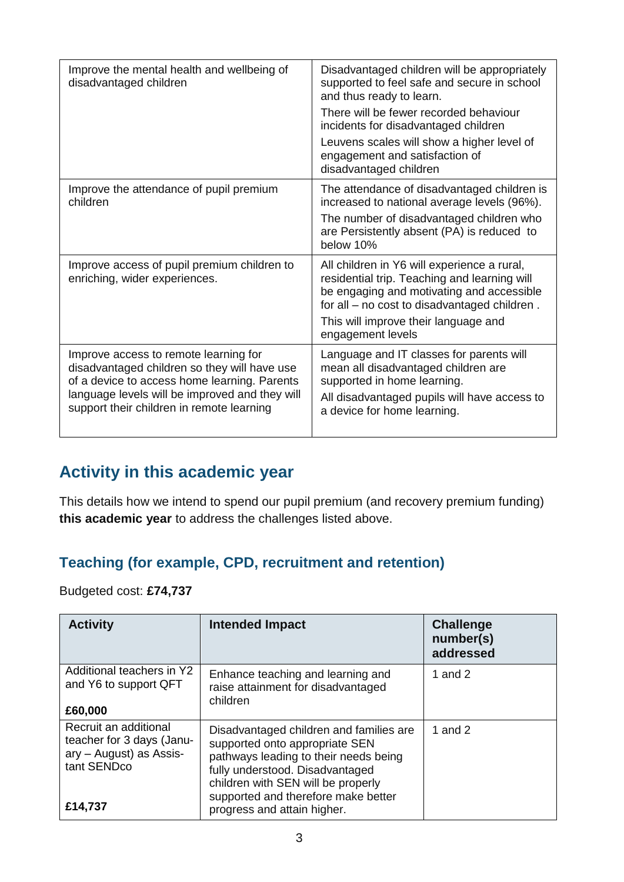| Improve the mental health and wellbeing of<br>disadvantaged children                                                                                                                                                                 | Disadvantaged children will be appropriately<br>supported to feel safe and secure in school<br>and thus ready to learn.<br>There will be fewer recorded behaviour<br>incidents for disadvantaged children<br>Leuvens scales will show a higher level of<br>engagement and satisfaction of<br>disadvantaged children |
|--------------------------------------------------------------------------------------------------------------------------------------------------------------------------------------------------------------------------------------|---------------------------------------------------------------------------------------------------------------------------------------------------------------------------------------------------------------------------------------------------------------------------------------------------------------------|
| Improve the attendance of pupil premium<br>children                                                                                                                                                                                  | The attendance of disadvantaged children is<br>increased to national average levels (96%).<br>The number of disadvantaged children who<br>are Persistently absent (PA) is reduced to<br>below 10%                                                                                                                   |
| Improve access of pupil premium children to<br>enriching, wider experiences.                                                                                                                                                         | All children in Y6 will experience a rural,<br>residential trip. Teaching and learning will<br>be engaging and motivating and accessible<br>for all - no cost to disadvantaged children.<br>This will improve their language and<br>engagement levels                                                               |
| Improve access to remote learning for<br>disadvantaged children so they will have use<br>of a device to access home learning. Parents<br>language levels will be improved and they will<br>support their children in remote learning | Language and IT classes for parents will<br>mean all disadvantaged children are<br>supported in home learning.<br>All disadvantaged pupils will have access to<br>a device for home learning.                                                                                                                       |

### **Activity in this academic year**

This details how we intend to spend our pupil premium (and recovery premium funding) **this academic year** to address the challenges listed above.

#### **Teaching (for example, CPD, recruitment and retention)**

Budgeted cost: **£74,737**

| <b>Activity</b>                                                                                         | <b>Intended Impact</b>                                                                                                                                                                                                                                            | <b>Challenge</b><br>number(s)<br>addressed |
|---------------------------------------------------------------------------------------------------------|-------------------------------------------------------------------------------------------------------------------------------------------------------------------------------------------------------------------------------------------------------------------|--------------------------------------------|
| Additional teachers in Y2<br>and Y6 to support QFT<br>£60,000                                           | Enhance teaching and learning and<br>raise attainment for disadvantaged<br>children                                                                                                                                                                               | 1 and $2$                                  |
| Recruit an additional<br>teacher for 3 days (Janu-<br>ary - August) as Assis-<br>tant SENDco<br>£14,737 | Disadvantaged children and families are<br>supported onto appropriate SEN<br>pathways leading to their needs being<br>fully understood. Disadvantaged<br>children with SEN will be properly<br>supported and therefore make better<br>progress and attain higher. | 1 and $2$                                  |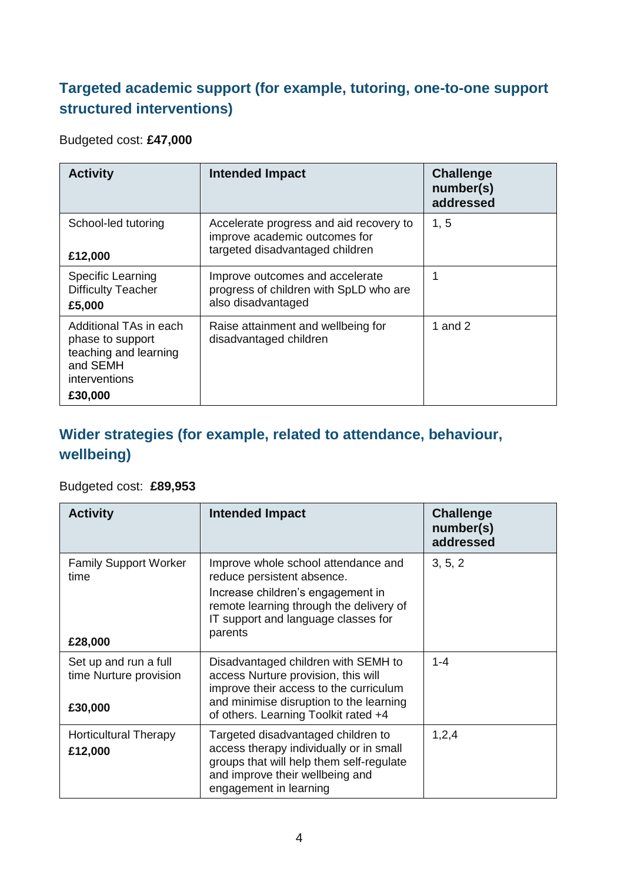#### **Targeted academic support (for example, tutoring, one-to-one support structured interventions)**

#### Budgeted cost: **£47,000**

| <b>Activity</b>                                                                                             | <b>Intended Impact</b>                                                                                      | <b>Challenge</b><br>number(s)<br>addressed |
|-------------------------------------------------------------------------------------------------------------|-------------------------------------------------------------------------------------------------------------|--------------------------------------------|
| School-led tutoring<br>£12,000                                                                              | Accelerate progress and aid recovery to<br>improve academic outcomes for<br>targeted disadvantaged children | 1, 5                                       |
| Specific Learning<br><b>Difficulty Teacher</b><br>£5,000                                                    | Improve outcomes and accelerate<br>progress of children with SpLD who are<br>also disadvantaged             | 1                                          |
| Additional TAs in each<br>phase to support<br>teaching and learning<br>and SEMH<br>interventions<br>£30,000 | Raise attainment and wellbeing for<br>disadvantaged children                                                | 1 and $2$                                  |

#### **Wider strategies (for example, related to attendance, behaviour, wellbeing)**

#### Budgeted cost: **£89,953**

| <b>Activity</b>                                            | <b>Intended Impact</b>                                                                                                                                                                                  | <b>Challenge</b><br>number(s)<br>addressed |
|------------------------------------------------------------|---------------------------------------------------------------------------------------------------------------------------------------------------------------------------------------------------------|--------------------------------------------|
| <b>Family Support Worker</b><br>time<br>£28,000            | Improve whole school attendance and<br>reduce persistent absence.<br>Increase children's engagement in<br>remote learning through the delivery of<br>IT support and language classes for<br>parents     | 3, 5, 2                                    |
| Set up and run a full<br>time Nurture provision<br>£30,000 | Disadvantaged children with SEMH to<br>access Nurture provision, this will<br>improve their access to the curriculum<br>and minimise disruption to the learning<br>of others. Learning Toolkit rated +4 | $1 - 4$                                    |
| <b>Horticultural Therapy</b><br>£12,000                    | Targeted disadvantaged children to<br>access therapy individually or in small<br>groups that will help them self-regulate<br>and improve their wellbeing and<br>engagement in learning                  | 1,2,4                                      |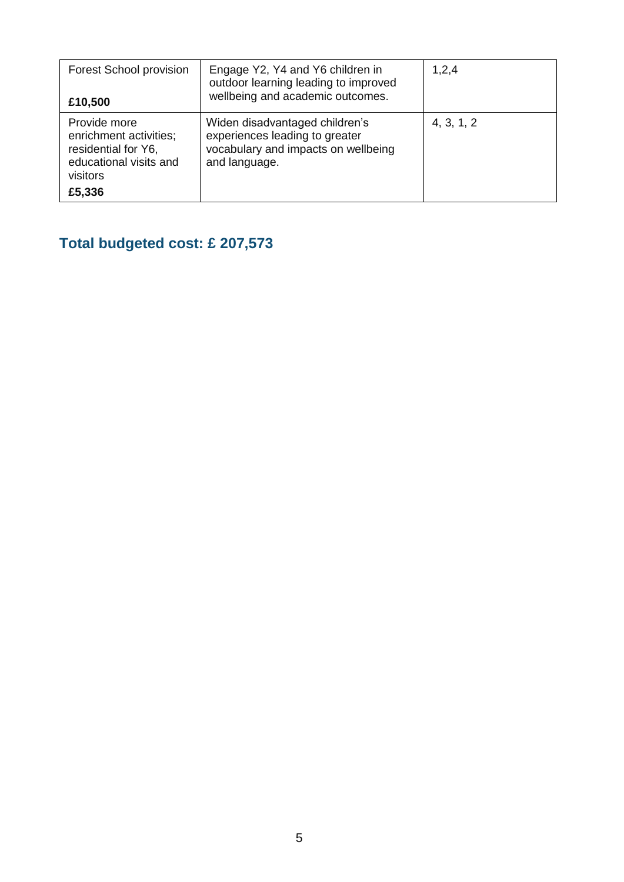| <b>Forest School provision</b><br>£10,500                                                                     | Engage Y2, Y4 and Y6 children in<br>outdoor learning leading to improved<br>wellbeing and academic outcomes.             | 1,2,4      |
|---------------------------------------------------------------------------------------------------------------|--------------------------------------------------------------------------------------------------------------------------|------------|
| Provide more<br>enrichment activities;<br>residential for Y6,<br>educational visits and<br>visitors<br>£5,336 | Widen disadvantaged children's<br>experiences leading to greater<br>vocabulary and impacts on wellbeing<br>and language. | 4, 3, 1, 2 |

## **Total budgeted cost: £ 207,573**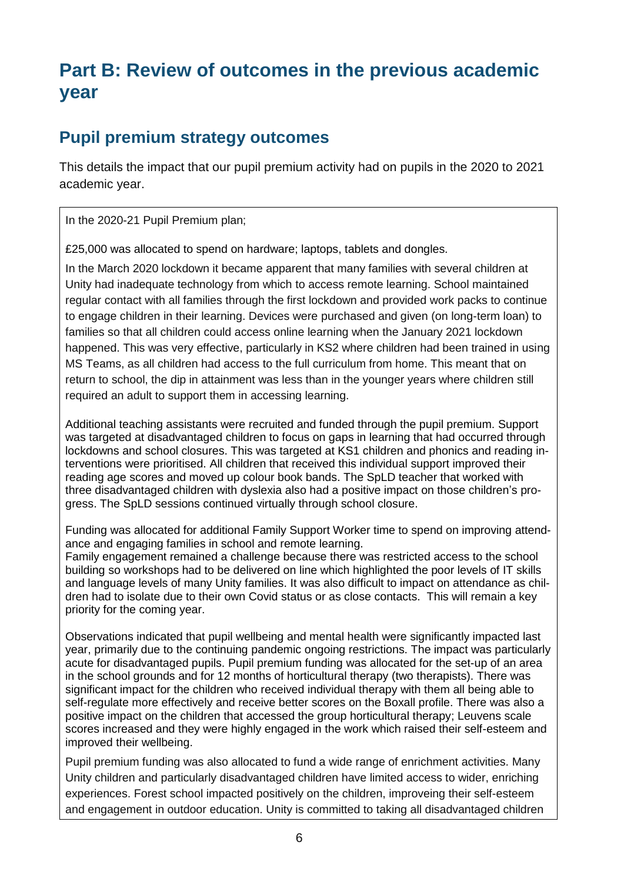# **Part B: Review of outcomes in the previous academic year**

### **Pupil premium strategy outcomes**

This details the impact that our pupil premium activity had on pupils in the 2020 to 2021 academic year.

In the 2020-21 Pupil Premium plan;

£25,000 was allocated to spend on hardware; laptops, tablets and dongles.

In the March 2020 lockdown it became apparent that many families with several children at Unity had inadequate technology from which to access remote learning. School maintained regular contact with all families through the first lockdown and provided work packs to continue to engage children in their learning. Devices were purchased and given (on long-term loan) to families so that all children could access online learning when the January 2021 lockdown happened. This was very effective, particularly in KS2 where children had been trained in using MS Teams, as all children had access to the full curriculum from home. This meant that on return to school, the dip in attainment was less than in the younger years where children still required an adult to support them in accessing learning.

Additional teaching assistants were recruited and funded through the pupil premium. Support was targeted at disadvantaged children to focus on gaps in learning that had occurred through lockdowns and school closures. This was targeted at KS1 children and phonics and reading interventions were prioritised. All children that received this individual support improved their reading age scores and moved up colour book bands. The SpLD teacher that worked with three disadvantaged children with dyslexia also had a positive impact on those children's progress. The SpLD sessions continued virtually through school closure.

Funding was allocated for additional Family Support Worker time to spend on improving attendance and engaging families in school and remote learning.

Family engagement remained a challenge because there was restricted access to the school building so workshops had to be delivered on line which highlighted the poor levels of IT skills and language levels of many Unity families. It was also difficult to impact on attendance as children had to isolate due to their own Covid status or as close contacts. This will remain a key priority for the coming year.

Observations indicated that pupil wellbeing and mental health were significantly impacted last year, primarily due to the continuing pandemic ongoing restrictions. The impact was particularly acute for disadvantaged pupils. Pupil premium funding was allocated for the set-up of an area in the school grounds and for 12 months of horticultural therapy (two therapists). There was significant impact for the children who received individual therapy with them all being able to self-regulate more effectively and receive better scores on the Boxall profile. There was also a positive impact on the children that accessed the group horticultural therapy; Leuvens scale scores increased and they were highly engaged in the work which raised their self-esteem and improved their wellbeing.

Pupil premium funding was also allocated to fund a wide range of enrichment activities. Many Unity children and particularly disadvantaged children have limited access to wider, enriching experiences. Forest school impacted positively on the children, improveing their self-esteem and engagement in outdoor education. Unity is committed to taking all disadvantaged children